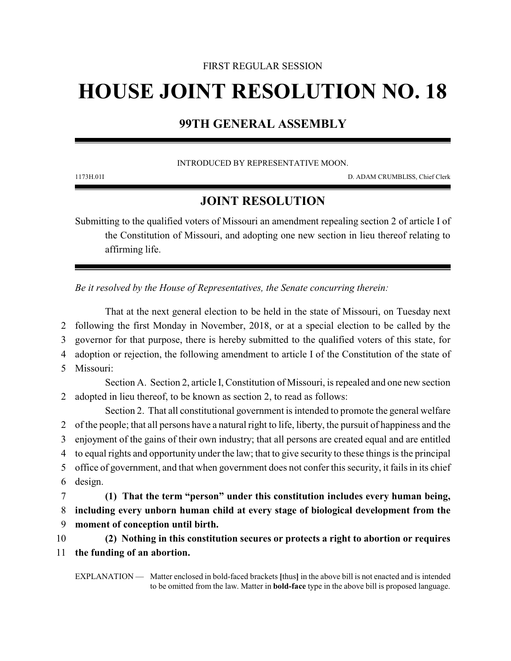### FIRST REGULAR SESSION

# **HOUSE JOINT RESOLUTION NO. 18**

# **99TH GENERAL ASSEMBLY**

#### INTRODUCED BY REPRESENTATIVE MOON.

1173H.01I D. ADAM CRUMBLISS, Chief Clerk

## **JOINT RESOLUTION**

Submitting to the qualified voters of Missouri an amendment repealing section 2 of article I of the Constitution of Missouri, and adopting one new section in lieu thereof relating to affirming life.

*Be it resolved by the House of Representatives, the Senate concurring therein:*

That at the next general election to be held in the state of Missouri, on Tuesday next following the first Monday in November, 2018, or at a special election to be called by the governor for that purpose, there is hereby submitted to the qualified voters of this state, for adoption or rejection, the following amendment to article I of the Constitution of the state of

5 Missouri:

Section A. Section 2, article I, Constitution of Missouri, is repealed and one new section 2 adopted in lieu thereof, to be known as section 2, to read as follows:

Section 2. That all constitutional government is intended to promote the general welfare of the people; that all persons have a natural right to life, liberty, the pursuit of happiness and the enjoyment of the gains of their own industry; that all persons are created equal and are entitled to equal rights and opportunity under the law; that to give security to these things is the principal office of government, and that when government does not confer this security, it fails in its chief 6 design. **(1) That the term "person" under this constitution includes every human being,**

8 **including every unborn human child at every stage of biological development from the** 9 **moment of conception until birth.**

10 **(2) Nothing in this constitution secures or protects a right to abortion or requires** 11 **the funding of an abortion.**

EXPLANATION — Matter enclosed in bold-faced brackets **[**thus**]** in the above bill is not enacted and is intended to be omitted from the law. Matter in **bold-face** type in the above bill is proposed language.